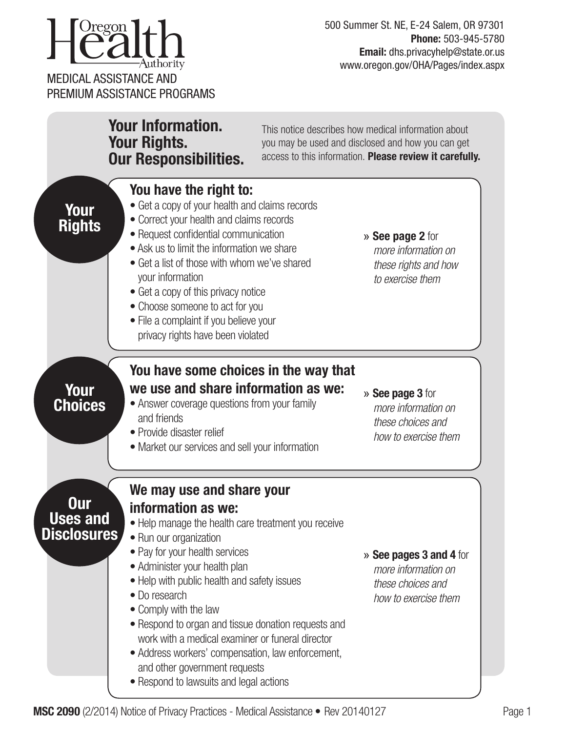

500 Summer St. NE, E-24 Salem, OR 97301 Phone: 503-945-5780 Email: dhs.privacyhelp@state.or.us www.oregon.gov/OHA/Pages/index.aspx

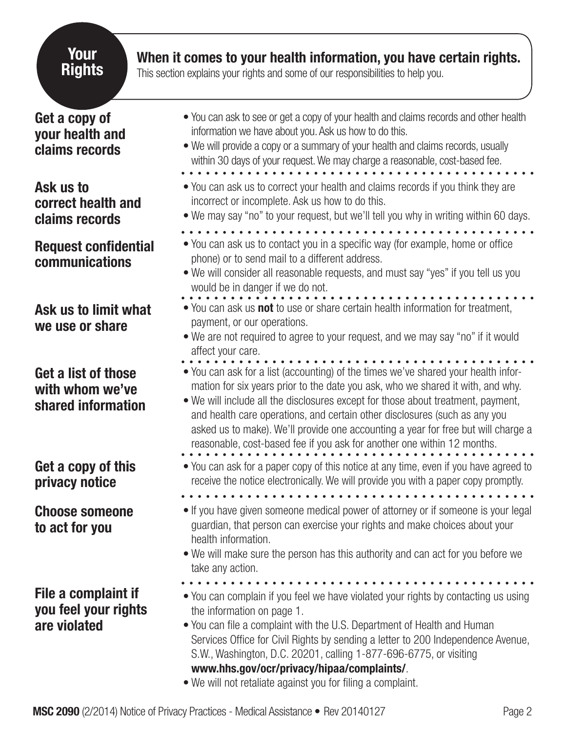# Your **Rights**

When it comes to your health information, you have certain rights.

This section explains your rights and some of our responsibilities to help you.

## Get a copy of your health and claims records

Ask us to correct health and claims records

### Request confidential communications

Ask us to limit what we use or share

## Get a list of those with whom we've shared information

Get a copy of this privacy notice

Choose someone to act for you

### File a complaint if you feel your rights are violated

| • You can ask to see or get a copy of your health and claims records and other health<br>information we have about you. Ask us how to do this.<br>• We will provide a copy or a summary of your health and claims records, usually<br>within 30 days of your request. We may charge a reasonable, cost-based fee.                                                                                                                                                                                       |
|---------------------------------------------------------------------------------------------------------------------------------------------------------------------------------------------------------------------------------------------------------------------------------------------------------------------------------------------------------------------------------------------------------------------------------------------------------------------------------------------------------|
| • You can ask us to correct your health and claims records if you think they are<br>incorrect or incomplete. Ask us how to do this.<br>• We may say "no" to your request, but we'll tell you why in writing within 60 days.                                                                                                                                                                                                                                                                             |
| • You can ask us to contact you in a specific way (for example, home or office<br>phone) or to send mail to a different address.<br>• We will consider all reasonable requests, and must say "yes" if you tell us you<br>would be in danger if we do not.                                                                                                                                                                                                                                               |
| • You can ask us <b>not</b> to use or share certain health information for treatment,<br>payment, or our operations.<br>• We are not required to agree to your request, and we may say "no" if it would<br>affect your care.                                                                                                                                                                                                                                                                            |
| • You can ask for a list (accounting) of the times we've shared your health infor-<br>mation for six years prior to the date you ask, who we shared it with, and why.<br>• We will include all the disclosures except for those about treatment, payment,<br>and health care operations, and certain other disclosures (such as any you<br>asked us to make). We'll provide one accounting a year for free but will charge a<br>reasonable, cost-based fee if you ask for another one within 12 months. |
| • You can ask for a paper copy of this notice at any time, even if you have agreed to<br>receive the notice electronically. We will provide you with a paper copy promptly.                                                                                                                                                                                                                                                                                                                             |
| • If you have given someone medical power of attorney or if someone is your legal<br>guardian, that person can exercise your rights and make choices about your<br>health information.                                                                                                                                                                                                                                                                                                                  |
| • We will make sure the person has this authority and can act for you before we<br>take any action.                                                                                                                                                                                                                                                                                                                                                                                                     |
| • You can complain if you feel we have violated your rights by contacting us using<br>the information on page 1.<br>• You can file a complaint with the U.S. Department of Health and Human<br>Services Office for Civil Rights by sending a letter to 200 Independence Avenue,<br>S.W., Washington, D.C. 20201, calling 1-877-696-6775, or visiting<br>www.hhs.gov/ocr/privacy/hipaa/complaints/.                                                                                                      |
| We will not retaliate equipot you for filing a complaint                                                                                                                                                                                                                                                                                                                                                                                                                                                |

• We will not retaliate against you for filing a complaint.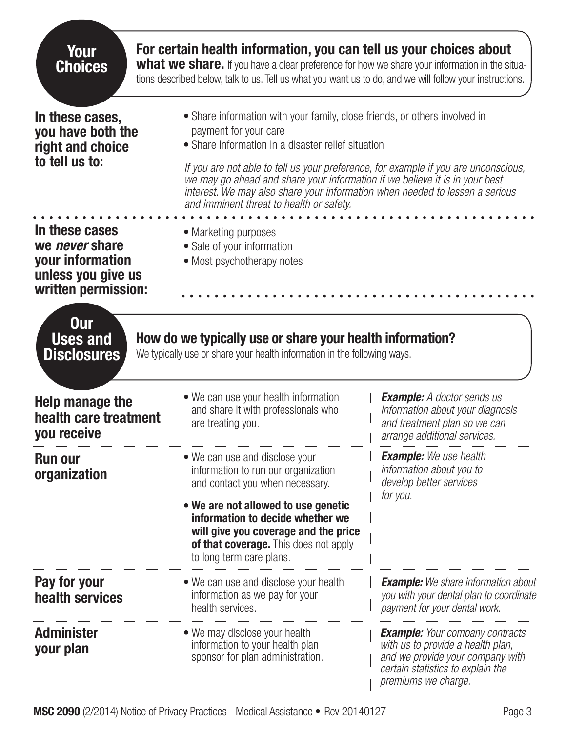#### For certain health information, you can tell us your choices about **what we share.** If you have a clear preference for how we share your information in the situations described below, talk to us. Tell us what you want us to do, and we will follow your instructions. Your Choices

| In these cases,<br>you have both the<br>right and choice                                          | • Share information with your family, close friends, or others involved in<br>payment for your care<br>• Share information in a disaster relief situation                                                                                                                                      |                                                                                                                                                                             |  |
|---------------------------------------------------------------------------------------------------|------------------------------------------------------------------------------------------------------------------------------------------------------------------------------------------------------------------------------------------------------------------------------------------------|-----------------------------------------------------------------------------------------------------------------------------------------------------------------------------|--|
| to tell us to:                                                                                    | If you are not able to tell us your preference, for example if you are unconscious,<br>we may go ahead and share your information if we believe it is in your best<br>interest. We may also share your information when needed to lessen a serious<br>and imminent threat to health or safety. |                                                                                                                                                                             |  |
| In these cases<br>we never share<br>your information<br>unless you give us<br>written permission: | • Marketing purposes<br>• Sale of your information<br>• Most psychotherapy notes                                                                                                                                                                                                               |                                                                                                                                                                             |  |
| <b>Our</b><br><b>Uses and</b><br><b>Disclosures</b>                                               | How do we typically use or share your health information?<br>We typically use or share your health information in the following ways.                                                                                                                                                          |                                                                                                                                                                             |  |
| Help manage the<br>health care treatment<br>you receive                                           | • We can use your health information<br>and share it with professionals who<br>are treating you.                                                                                                                                                                                               | <b>Example:</b> A doctor sends us<br>information about your diagnosis<br>and treatment plan so we can<br>arrange additional services.                                       |  |
| <b>Run our</b><br>organization                                                                    | • We can use and disclose your<br>information to run our organization<br>and contact you when necessary.                                                                                                                                                                                       | <b>Example:</b> We use health<br>information about you to<br>develop better services                                                                                        |  |
|                                                                                                   | • We are not allowed to use genetic<br>information to decide whether we<br>will give you coverage and the price<br>of that coverage. This does not apply<br>to long term care plans.                                                                                                           | for you.                                                                                                                                                                    |  |
| Pay for your<br>health services                                                                   | • We can use and disclose your health<br>information as we pay for your<br>health services.                                                                                                                                                                                                    | <b>Example:</b> We share information about<br>you with your dental plan to coordinate<br>payment for your dental work.                                                      |  |
| <b>Administer</b><br>your plan                                                                    | • We may disclose your health<br>information to your health plan<br>sponsor for plan administration.                                                                                                                                                                                           | <b>Example:</b> Your company contracts<br>with us to provide a health plan,<br>and we provide your company with<br>certain statistics to explain the<br>premiums we charge. |  |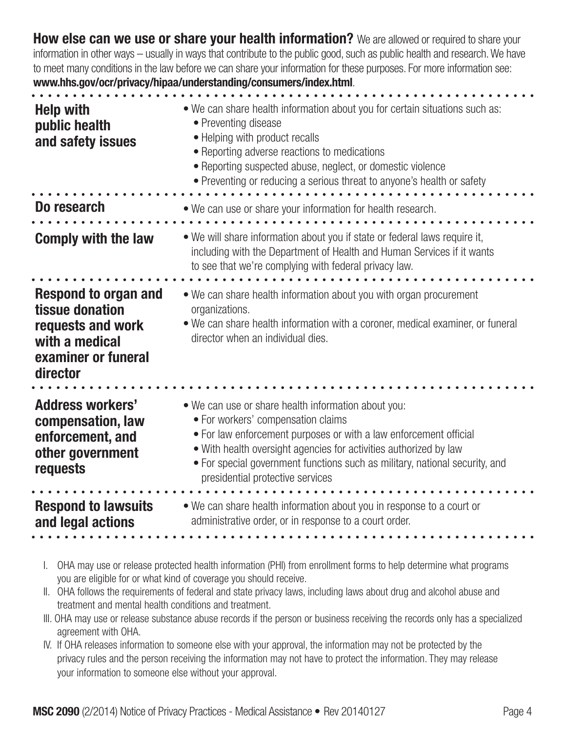How else can we use or share your health information? We are allowed or required to share your information in other ways – usually in ways that contribute to the public good, such as public health and research. We have to meet many conditions in the law before we can share your information for these purposes. For more information see: www.hhs.gov/ocr/privacy/hipaa/understanding/consumers/index.html.

| <b>Help with</b><br>public health<br>and safety issues                                                                   | • We can share health information about you for certain situations such as:<br>• Preventing disease<br>• Helping with product recalls<br>• Reporting adverse reactions to medications<br>• Reporting suspected abuse, neglect, or domestic violence<br>• Preventing or reducing a serious threat to anyone's health or safety                          |
|--------------------------------------------------------------------------------------------------------------------------|--------------------------------------------------------------------------------------------------------------------------------------------------------------------------------------------------------------------------------------------------------------------------------------------------------------------------------------------------------|
| Do research                                                                                                              | • We can use or share your information for health research.                                                                                                                                                                                                                                                                                            |
| <b>Comply with the law</b>                                                                                               | . We will share information about you if state or federal laws require it,<br>including with the Department of Health and Human Services if it wants<br>to see that we're complying with federal privacy law.                                                                                                                                          |
| <b>Respond to organ and</b><br>tissue donation<br>requests and work<br>with a medical<br>examiner or funeral<br>director | • We can share health information about you with organ procurement<br>organizations.<br>. We can share health information with a coroner, medical examiner, or funeral<br>director when an individual dies.                                                                                                                                            |
| <b>Address workers'</b><br>compensation, law<br>enforcement, and<br>other government<br>requests                         | . We can use or share health information about you:<br>• For workers' compensation claims<br>• For law enforcement purposes or with a law enforcement official<br>• With health oversight agencies for activities authorized by law<br>• For special government functions such as military, national security, and<br>presidential protective services |
| <b>Respond to lawsuits</b><br>and legal actions                                                                          | • We can share health information about you in response to a court or<br>administrative order, or in response to a court order.                                                                                                                                                                                                                        |

- I. OHA may use or release protected health information (PHI) from enrollment forms to help determine what programs you are eligible for or what kind of coverage you should receive.
- II. OHA follows the requirements of federal and state privacy laws, including laws about drug and alcohol abuse and treatment and mental health conditions and treatment.
- III. OHA may use or release substance abuse records if the person or business receiving the records only has a specialized agreement with OHA.
- IV. If OHA releases information to someone else with your approval, the information may not be protected by the privacy rules and the person receiving the information may not have to protect the information. They may release your information to someone else without your approval.